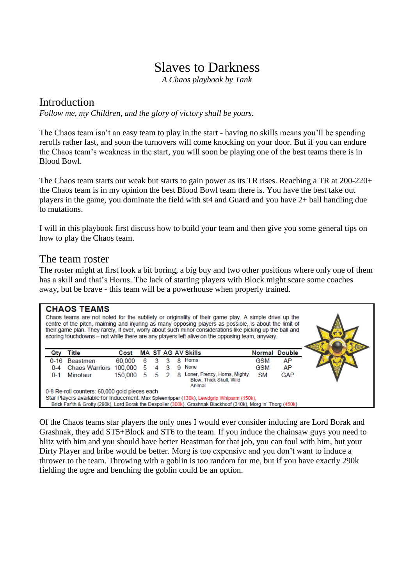# Slaves to Darkness

*A Chaos playbook by Tank*

# Introduction

*Follow me, my Children, and the glory of victory shall be yours.*

The Chaos team isn't an easy team to play in the start - having no skills means you'll be spending rerolls rather fast, and soon the turnovers will come knocking on your door. But if you can endure the Chaos team's weakness in the start, you will soon be playing one of the best teams there is in Blood Bowl.

The Chaos team starts out weak but starts to gain power as its TR rises. Reaching a TR at 200-220+ the Chaos team is in my opinion the best Blood Bowl team there is. You have the best take out players in the game, you dominate the field with st4 and Guard and you have 2+ ball handling due to mutations.

I will in this playbook first discuss how to build your team and then give you some general tips on how to play the Chaos team.

# The team roster

The roster might at first look a bit boring, a big buy and two other positions where only one of them has a skill and that's Horns. The lack of starting players with Block might scare some coaches away, but be brave - this team will be a powerhouse when properly trained.

|                                               | <b>CHAOS TEAMS</b>                                                                                              |         |   |    |                |   | Chaos teams are not noted for the subtlety or originality of their game play. A simple drive up the<br>centre of the pitch, maiming and injuring as many opposing players as possible, is about the limit of<br>their game plan. They rarely, if ever, worry about such minor considerations like picking up the ball and<br>scoring touchdowns - not while there are any players left alive on the opposing team, anyway. |     |                      |  |
|-----------------------------------------------|-----------------------------------------------------------------------------------------------------------------|---------|---|----|----------------|---|----------------------------------------------------------------------------------------------------------------------------------------------------------------------------------------------------------------------------------------------------------------------------------------------------------------------------------------------------------------------------------------------------------------------------|-----|----------------------|--|
|                                               | Title                                                                                                           | Cost    |   |    |                |   | <b>MA ST AG AV Skills</b>                                                                                                                                                                                                                                                                                                                                                                                                  |     | <b>Normal Double</b> |  |
|                                               | 0-16 Beastmen                                                                                                   | 60,000  |   | 3  |                | 8 | Homs                                                                                                                                                                                                                                                                                                                                                                                                                       | GSM | AP                   |  |
| $0 - 4$                                       | Chaos Warriors 100,000                                                                                          |         | 5 | 4  | 3              |   | 9 None                                                                                                                                                                                                                                                                                                                                                                                                                     | GSM | AP                   |  |
| $0 - 1$                                       | Minotaur                                                                                                        | 150,000 | 5 | 5. | $\overline{2}$ | я | Loner, Frenzy, Horns, Mighty<br><b>Blow, Thick Skull, Wild</b><br>Animal                                                                                                                                                                                                                                                                                                                                                   | SM  | <b>GAP</b>           |  |
| 0-8 Re-roll counters: 60,000 gold pieces each |                                                                                                                 |         |   |    |                |   |                                                                                                                                                                                                                                                                                                                                                                                                                            |     |                      |  |
|                                               | Star Players available for Inducement: Max Spleenripper (130k), Lewdgrip Whiparm (150k),                        |         |   |    |                |   |                                                                                                                                                                                                                                                                                                                                                                                                                            |     |                      |  |
|                                               | Brick Far'th & Grotty (290k), Lord Borak the Despoiler (300k), Grashnak Blackhoof (310k), Morg 'n' Thorg (450k) |         |   |    |                |   |                                                                                                                                                                                                                                                                                                                                                                                                                            |     |                      |  |

Of the Chaos teams star players the only ones I would ever consider inducing are Lord Borak and Grashnak, they add ST5+Block and ST6 to the team. If you induce the chainsaw guys you need to blitz with him and you should have better Beastman for that job, you can foul with him, but your Dirty Player and bribe would be better. Morg is too expensive and you don't want to induce a thrower to the team. Throwing with a goblin is too random for me, but if you have exactly 290k fielding the ogre and benching the goblin could be an option.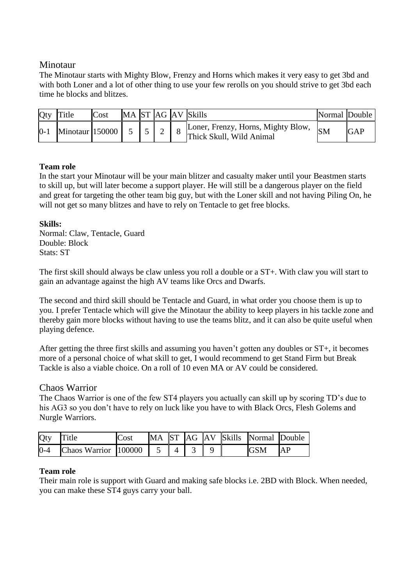# Minotaur

The Minotaur starts with Mighty Blow, Frenzy and Horns which makes it very easy to get 3bd and with both Loner and a lot of other thing to use your few rerolls on you should strive to get 3bd each time he blocks and blitzes.

| Qty   | Title           | Cost |  |  | MA ST AG AV Skills                                             | Normal Double |            |
|-------|-----------------|------|--|--|----------------------------------------------------------------|---------------|------------|
| $0-1$ | Minotaur 150000 |      |  |  | Loner, Frenzy, Horns, Mighty Blow,<br>Thick Skull, Wild Animal | <b>SM</b>     | <b>GAP</b> |

#### **Team role**

In the start your Minotaur will be your main blitzer and casualty maker until your Beastmen starts to skill up, but will later become a support player. He will still be a dangerous player on the field and great for targeting the other team big guy, but with the Loner skill and not having Piling On, he will not get so many blitzes and have to rely on Tentacle to get free blocks.

# **Skills:**

Normal: Claw, Tentacle, Guard Double: Block Stats: ST

The first skill should always be claw unless you roll a double or a ST+. With claw you will start to gain an advantage against the high AV teams like Orcs and Dwarfs.

The second and third skill should be Tentacle and Guard, in what order you choose them is up to you. I prefer Tentacle which will give the Minotaur the ability to keep players in his tackle zone and thereby gain more blocks without having to use the teams blitz, and it can also be quite useful when playing defence.

After getting the three first skills and assuming you haven't gotten any doubles or ST+, it becomes more of a personal choice of what skill to get, I would recommend to get Stand Firm but Break Tackle is also a viable choice. On a roll of 10 even MA or AV could be considered.

# Chaos Warrior

The Chaos Warrior is one of the few ST4 players you actually can skill up by scoring TD's due to his AG3 so you don't have to rely on luck like you have to with Black Orcs, Flesh Golems and Nurgle Warriors.

| <b>Qty</b> | Title                | Cost |  |                |  | MA ST AG AV Skills Normal Double |    |
|------------|----------------------|------|--|----------------|--|----------------------------------|----|
| $0 - 4$    | Chaos Warrior 100000 |      |  | $\blacksquare$ |  | <b>GSM</b>                       | AP |

#### **Team role**

Their main role is support with Guard and making safe blocks i.e. 2BD with Block. When needed, you can make these ST4 guys carry your ball.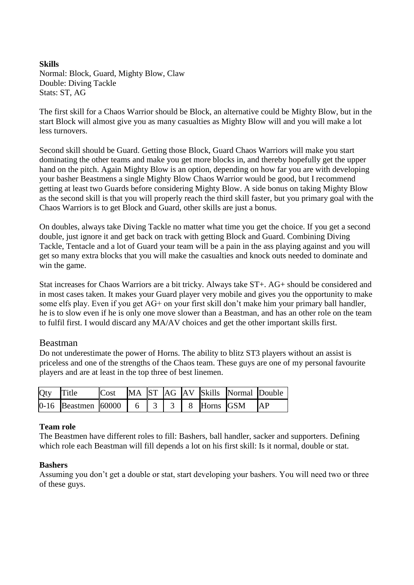# **Skills** Normal: Block, Guard, Mighty Blow, Claw Double: Diving Tackle Stats: ST, AG

The first skill for a Chaos Warrior should be Block, an alternative could be Mighty Blow, but in the start Block will almost give you as many casualties as Mighty Blow will and you will make a lot less turnovers.

Second skill should be Guard. Getting those Block, Guard Chaos Warriors will make you start dominating the other teams and make you get more blocks in, and thereby hopefully get the upper hand on the pitch. Again Mighty Blow is an option, depending on how far you are with developing your basher Beastmens a single Mighty Blow Chaos Warrior would be good, but I recommend getting at least two Guards before considering Mighty Blow. A side bonus on taking Mighty Blow as the second skill is that you will properly reach the third skill faster, but you primary goal with the Chaos Warriors is to get Block and Guard, other skills are just a bonus.

On doubles, always take Diving Tackle no matter what time you get the choice. If you get a second double, just ignore it and get back on track with getting Block and Guard. Combining Diving Tackle, Tentacle and a lot of Guard your team will be a pain in the ass playing against and you will get so many extra blocks that you will make the casualties and knock outs needed to dominate and win the game.

Stat increases for Chaos Warriors are a bit tricky. Always take ST+. AG+ should be considered and in most cases taken. It makes your Guard player very mobile and gives you the opportunity to make some elfs play. Even if you get AG+ on your first skill don't make him your primary ball handler, he is to slow even if he is only one move slower than a Beastman, and has an other role on the team to fulfil first. I would discard any MA/AV choices and get the other important skills first.

# Beastman

Do not underestimate the power of Horns. The ability to blitz ST3 players without an assist is priceless and one of the strengths of the Chaos team. These guys are one of my personal favourite players and are at least in the top three of best linemen.

| Qty Title |                                          |  |  |  | Cost MA ST AG AV Skills Normal Double |  |
|-----------|------------------------------------------|--|--|--|---------------------------------------|--|
|           | 0-16 Beastmen 60000 6 3 3 8 Horns GSM AP |  |  |  |                                       |  |

#### **Team role**

The Beastmen have different roles to fill: Bashers, ball handler, sacker and supporters. Defining which role each Beastman will fill depends a lot on his first skill: Is it normal, double or stat.

#### **Bashers**

Assuming you don't get a double or stat, start developing your bashers. You will need two or three of these guys.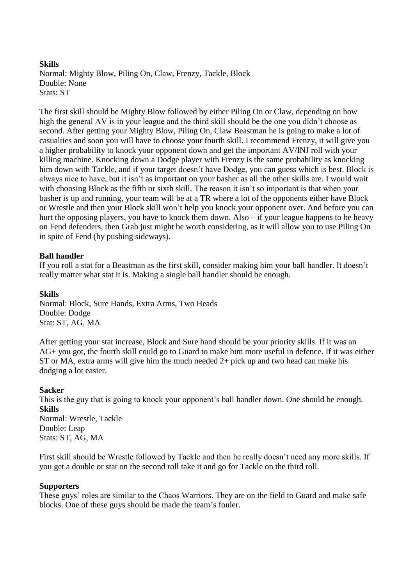# **Skills** Normal: Mighty Blow, Piling On, Claw, Frenzy, Tackle, Block Double: None Stats: ST

The first skill should be Mighty Blow followed by either Piling On or Claw, depending on how high the general AV is in your league and the third skill should be the one you didn't choose as second. After getting your Mighty Blow, Piling On, Claw Beastman he is going to make a lot of casualties and soon you will have to choose your fourth skill. I recommend Frenzy, it will give you a higher probability to knock your opponent down and get the important AV/INJ roll with your killing machine. Knocking down a Dodge player with Frenzy is the same probability as knocking him down with Tackle, and if your target doesn't have Dodge, you can guess which is best. Block is always nice to have, but it isn't as important on your basher as all the other skills are. I would wait with choosing Block as the fifth or sixth skill. The reason it isn't so important is that when your basher is up and running, your team will be at a TR where a lot of the opponents either have Block or Wrestle and then your Block skill won't help you knock your opponent over. And before you can hurt the opposing players, you have to knock them down. Also – if your league happens to be heavy on Fend defenders, then Grab just might be worth considering, as it will allow you to use Piling On in spite of Fend (by pushing sideways).

# **Ball handler**

If you roll a stat for a Beastman as the first skill, consider making him your ball handler. It doesn't really matter what stat it is. Making a single ball handler should be enough.

#### **Skills**

Normal: Block, Sure Hands, Extra Arms, Two Heads Double: Dodge Stat: ST, AG, MA

After getting your stat increase, Block and Sure hand should be your priority skills. If it was an AG+ you got, the fourth skill could go to Guard to make him more useful in defence. If it was either ST or MA, extra arms will give him the much needed 2+ pick up and two head can make his dodging a lot easier.

#### **Sacker**

This is the guy that is going to knock your opponent's ball handler down. One should be enough. **Skills** Normal: Wrestle, Tackle Double: Leap Stats: ST, AG, MA

First skill should be Wrestle followed by Tackle and then he really doesn't need any more skills. If you get a double or stat on the second roll take it and go for Tackle on the third roll.

#### **Supporters**

These guys' roles are similar to the Chaos Warriors. They are on the field to Guard and make safe blocks. One of these guys should be made the team's fouler.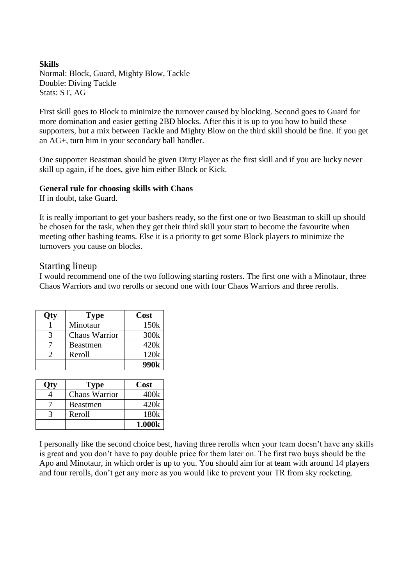#### **Skills** Normal: Block, Guard, Mighty Blow, Tackle Double: Diving Tackle Stats: ST, AG

First skill goes to Block to minimize the turnover caused by blocking. Second goes to Guard for more domination and easier getting 2BD blocks. After this it is up to you how to build these supporters, but a mix between Tackle and Mighty Blow on the third skill should be fine. If you get an AG+, turn him in your secondary ball handler.

One supporter Beastman should be given Dirty Player as the first skill and if you are lucky never skill up again, if he does, give him either Block or Kick.

#### **General rule for choosing skills with Chaos**

If in doubt, take Guard.

It is really important to get your bashers ready, so the first one or two Beastman to skill up should be chosen for the task, when they get their third skill your start to become the favourite when meeting other bashing teams. Else it is a priority to get some Block players to minimize the turnovers you cause on blocks.

# Starting lineup

I would recommend one of the two following starting rosters. The first one with a Minotaur, three Chaos Warriors and two rerolls or second one with four Chaos Warriors and three rerolls.

| <b>Type</b>     | Cost |
|-----------------|------|
| Minotaur        | 150k |
| Chaos Warrior   | 300k |
| <b>Beastmen</b> | 420k |
| Reroll          | 120k |
|                 | 990k |

| <b>Type</b>   | Cost             |
|---------------|------------------|
| Chaos Warrior | 400k             |
| Beastmen      | 420k             |
| Reroll        | 180 <sub>k</sub> |
|               | 1.000k           |

I personally like the second choice best, having three rerolls when your team doesn't have any skills is great and you don't have to pay double price for them later on. The first two buys should be the Apo and Minotaur, in which order is up to you. You should aim for at team with around 14 players and four rerolls, don't get any more as you would like to prevent your TR from sky rocketing.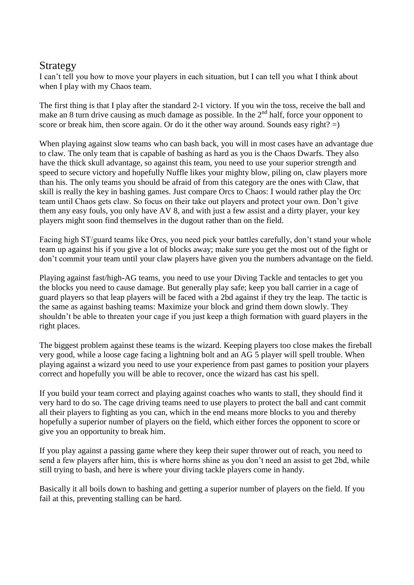# Strategy

I can't tell you how to move your players in each situation, but I can tell you what I think about when I play with my Chaos team.

The first thing is that I play after the standard 2-1 victory. If you win the toss, receive the ball and make an 8 turn drive causing as much damage as possible. In the  $2<sup>nd</sup>$  half, force your opponent to score or break him, then score again. Or do it the other way around. Sounds easy right?  $=$ )

When playing against slow teams who can bash back, you will in most cases have an advantage due to claw. The only team that is capable of bashing as hard as you is the Chaos Dwarfs. They also have the thick skull advantage, so against this team, you need to use your superior strength and speed to secure victory and hopefully Nuffle likes your mighty blow, piling on, claw players more than his. The only teams you should be afraid of from this category are the ones with Claw, that skill is really the key in bashing games. Just compare Orcs to Chaos: I would rather play the Orc team until Chaos gets claw. So focus on their take out players and protect your own. Don't give them any easy fouls, you only have AV 8, and with just a few assist and a dirty player, your key players might soon find themselves in the dugout rather than on the field.

Facing high ST/guard teams like Orcs, you need pick your battles carefully, don't stand your whole team up against his if you give a lot of blocks away; make sure you get the most out of the fight or don't commit your team until your claw players have given you the numbers advantage on the field.

Playing against fast/high-AG teams, you need to use your Diving Tackle and tentacles to get you the blocks you need to cause damage. But generally play safe; keep you ball carrier in a cage of guard players so that leap players will be faced with a 2bd against if they try the leap. The tactic is the same as against bashing teams: Maximize your block and grind them down slowly. They shouldn't be able to threaten your cage if you just keep a thigh formation with guard players in the right places.

The biggest problem against these teams is the wizard. Keeping players too close makes the fireball very good, while a loose cage facing a lightning bolt and an AG 5 player will spell trouble. When playing against a wizard you need to use your experience from past games to position your players correct and hopefully you will be able to recover, once the wizard has cast his spell.

If you build your team correct and playing against coaches who wants to stall, they should find it very hard to do so. The cage driving teams need to use players to protect the ball and cant commit all their players to fighting as you can, which in the end means more blocks to you and thereby hopefully a superior number of players on the field, which either forces the opponent to score or give you an opportunity to break him.

If you play against a passing game where they keep their super thrower out of reach, you need to send a few players after him, this is where horns shine as you don't need an assist to get 2bd, while still trying to bash, and here is where your diving tackle players come in handy.

Basically it all boils down to bashing and getting a superior number of players on the field. If you fail at this, preventing stalling can be hard.